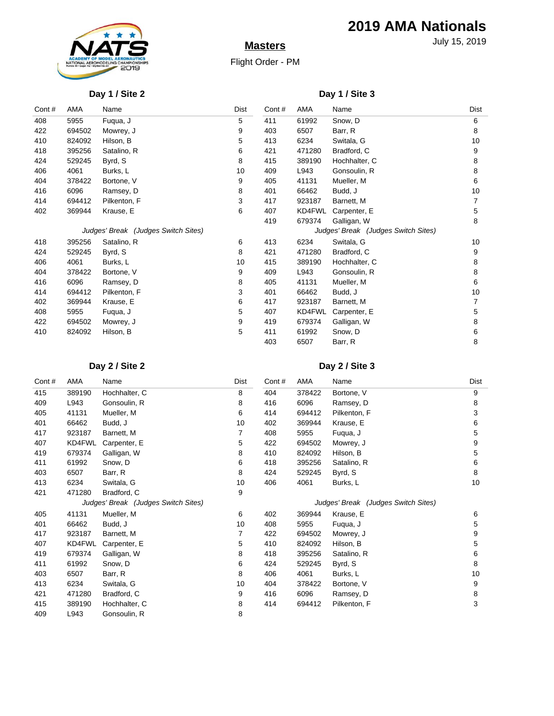

# **Masters**

Flight Order - PM

**2019 AMA Nationals**

July 15, 2019

#### **Day 1 / Site 2**

### **Day 1 / Site 3**

| Cont# | AMA                                 | Name         | Dist | Cont#                               | AMA    | Name          | Dist |
|-------|-------------------------------------|--------------|------|-------------------------------------|--------|---------------|------|
| 408   | 5955                                | Fuqua, J     | 5    | 411                                 | 61992  | Snow, D       | 6    |
| 422   | 694502                              | Mowrey, J    | 9    | 403                                 | 6507   | Barr, R       | 8    |
| 410   | 824092                              | Hilson, B    | 5    | 413                                 | 6234   | Switala, G    | 10   |
| 418   | 395256                              | Satalino, R  | 6    | 421                                 | 471280 | Bradford, C   | 9    |
| 424   | 529245                              | Byrd, S      | 8    | 415                                 | 389190 | Hochhalter, C | 8    |
| 406   | 4061                                | Burks, L     | 10   | 409                                 | L943   | Gonsoulin, R  | 8    |
| 404   | 378422                              | Bortone, V   | 9    | 405                                 | 41131  | Mueller, M    | 6    |
| 416   | 6096                                | Ramsey, D    | 8    | 401                                 | 66462  | Budd, J       | 10   |
| 414   | 694412                              | Pilkenton, F | 3    | 417                                 | 923187 | Barnett, M    |      |
| 402   | 369944                              | Krause, E    | 6    | 407                                 | KD4FWL | Carpenter, E  | 5    |
|       |                                     |              |      | 419                                 | 679374 | Galligan, W   | 8    |
|       | Judges' Break (Judges Switch Sites) |              |      | Judges' Break (Judges Switch Sites) |        |               |      |
| 418   | 395256                              | Satalino, R  | 6    | 413                                 | 6234   | Switala, G    | 10   |
| 424   | 529245                              | Byrd, S      | 8    | 421                                 | 471280 | Bradford, C   | 9    |
| 406   | 4061                                | Burks, L     | 10   | 415                                 | 389190 | Hochhalter, C | 8    |
| 404   | 378422                              | Bortone, V   | 9    | 409                                 | L943   | Gonsoulin, R  | 8    |
| 416   | 6096                                | Ramsey, D    | 8    | 405                                 | 41131  | Mueller, M    | 6    |
| 414   | 694412                              | Pilkenton, F | 3    | 401                                 | 66462  | Budd, J       | 10   |
| 402   | 369944                              | Krause, E    | 6    | 417                                 | 923187 | Barnett, M    |      |
| 408   | 5955                                | Fuqua, J     | 5    | 407                                 | KD4FWL | Carpenter, E  | 5    |
| 422   | 694502                              | Mowrey, J    | 9    | 419                                 | 679374 | Galligan, W   | 8    |
| 410   | 824092                              | Hilson, B    | 5    | 411                                 | 61992  | Snow, D       | 6    |
|       |                                     |              |      | 403                                 | 6507   | Barr, R       | 8    |

# **Day 2 / Site 2**

### **Day 2 / Site 3**

| Cont# | AMA                                 | Name          | Dist | Cont#                               | AMA    | Name         | Dist |
|-------|-------------------------------------|---------------|------|-------------------------------------|--------|--------------|------|
| 415   | 389190                              | Hochhalter, C | 8    | 404                                 | 378422 | Bortone, V   | 9    |
| 409   | L943                                | Gonsoulin, R  | 8    | 416                                 | 6096   | Ramsey, D    | 8    |
| 405   | 41131                               | Mueller, M    | 6    | 414                                 | 694412 | Pilkenton, F | 3    |
| 401   | 66462                               | Budd, J       | 10   | 402                                 | 369944 | Krause, E    | 6    |
| 417   | 923187                              | Barnett, M    | 7    | 408                                 | 5955   | Fuqua, J     | 5    |
| 407   | KD4FWL                              | Carpenter, E  | 5    | 422                                 | 694502 | Mowrey, J    | 9    |
| 419   | 679374                              | Galligan, W   | 8    | 410                                 | 824092 | Hilson, B    | 5    |
| 411   | 61992                               | Snow, D       | 6    | 418                                 | 395256 | Satalino, R  | 6    |
| 403   | 6507                                | Barr, R       | 8    | 424                                 | 529245 | Byrd, S      | 8    |
| 413   | 6234                                | Switala, G    | 10   | 406                                 | 4061   | Burks, L     | 10   |
| 421   | 471280                              | Bradford, C   | 9    |                                     |        |              |      |
|       | Judges' Break (Judges Switch Sites) |               |      | Judges' Break (Judges Switch Sites) |        |              |      |
| 405   | 41131                               | Mueller, M    | 6    | 402                                 | 369944 | Krause, E    | 6    |
| 401   | 66462                               | Budd, J       | 10   | 408                                 | 5955   | Fuqua, J     | 5    |
| 417   | 923187                              | Barnett, M    | 7    | 422                                 | 694502 | Mowrey, J    | 9    |
| 407   | KD4FWL                              | Carpenter, E  | 5    | 410                                 | 824092 | Hilson, B    | 5    |
| 419   | 679374                              | Galligan, W   | 8    | 418                                 | 395256 | Satalino, R  | 6    |
| 411   | 61992                               | Snow, D       | 6    | 424                                 | 529245 | Byrd, S      | 8    |
| 403   | 6507                                | Barr, R       | 8    | 406                                 | 4061   | Burks, L     | 10   |
| 413   | 6234                                | Switala, G    | 10   | 404                                 | 378422 | Bortone, V   | 9    |
| 421   | 471280                              | Bradford, C   | 9    | 416                                 | 6096   | Ramsey, D    | 8    |
| 415   | 389190                              | Hochhalter, C | 8    | 414                                 | 694412 | Pilkenton, F | 3    |
| 409   | L943                                | Gonsoulin, R  | 8    |                                     |        |              |      |